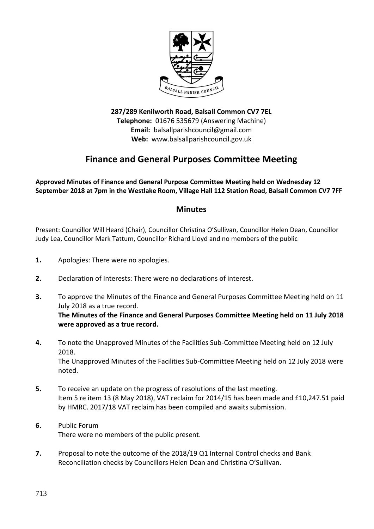

**287/289 Kenilworth Road, Balsall Common CV7 7EL Telephone:** 01676 535679 (Answering Machine) **Email:** balsallparishcouncil@gmail.com **Web:** www.balsallparishcouncil.gov.uk

## **Finance and General Purposes Committee Meeting**

**Approved Minutes of Finance and General Purpose Committee Meeting held on Wednesday 12 September 2018 at 7pm in the Westlake Room, Village Hall 112 Station Road, Balsall Common CV7 7FF**

## **Minutes**

Present: Councillor Will Heard (Chair), Councillor Christina O'Sullivan, Councillor Helen Dean, Councillor Judy Lea, Councillor Mark Tattum, Councillor Richard Lloyd and no members of the public

- **1.** Apologies: There were no apologies.
- **2.** Declaration of Interests: There were no declarations of interest.
- **3.** To approve the Minutes of the Finance and General Purposes Committee Meeting held on 11 July 2018 as a true record. **The Minutes of the Finance and General Purposes Committee Meeting held on 11 July 2018 were approved as a true record.**
- **4.** To note the Unapproved Minutes of the Facilities Sub-Committee Meeting held on 12 July 2018. The Unapproved Minutes of the Facilities Sub-Committee Meeting held on 12 July 2018 were noted.
- **5.** To receive an update on the progress of resolutions of the last meeting. Item 5 re item 13 (8 May 2018), VAT reclaim for 2014/15 has been made and £10,247.51 paid by HMRC. 2017/18 VAT reclaim has been compiled and awaits submission.
- **6.** Public Forum There were no members of the public present.
- **7.** Proposal to note the outcome of the 2018/19 Q1 Internal Control checks and Bank Reconciliation checks by Councillors Helen Dean and Christina O'Sullivan.